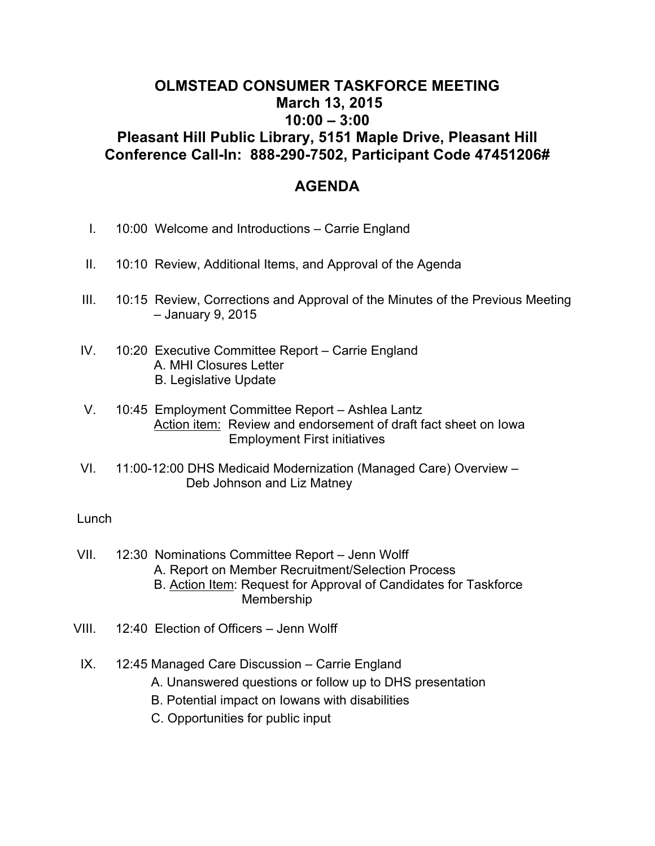## **OLMSTEAD CONSUMER TASKFORCE MEETING March 13, 2015 10:00 – 3:00 Pleasant Hill Public Library, 5151 Maple Drive, Pleasant Hill Conference Call-In: 888-290-7502, Participant Code 47451206#**

## **AGENDA**

- I. 10:00 Welcome and Introductions Carrie England
- II. 10:10 Review, Additional Items, and Approval of the Agenda
- III. 10:15 Review, Corrections and Approval of the Minutes of the Previous Meeting – January 9, 2015
- IV. 10:20 Executive Committee Report Carrie England A. MHI Closures Letter B. Legislative Update
- V. 10:45 Employment Committee Report Ashlea Lantz Action item: Review and endorsement of draft fact sheet on Iowa Employment First initiatives
- VI. 11:00-12:00 DHS Medicaid Modernization (Managed Care) Overview Deb Johnson and Liz Matney

## Lunch

- VII. 12:30 Nominations Committee Report Jenn Wolff A. Report on Member Recruitment/Selection Process B. Action Item: Request for Approval of Candidates for Taskforce Membership
- VIII. 12:40 Election of Officers Jenn Wolff
	- IX. 12:45 Managed Care Discussion Carrie England
		- A. Unanswered questions or follow up to DHS presentation
		- B. Potential impact on Iowans with disabilities
		- C. Opportunities for public input